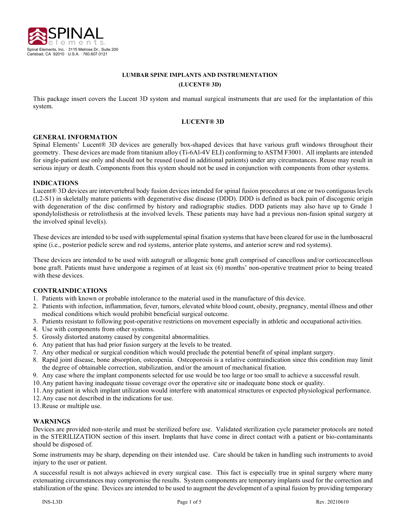

# **LUMBAR SPINE IMPLANTS AND INSTRUMENTATION (LUCENT® 3D)**

This package insert covers the Lucent 3D system and manual surgical instruments that are used for the implantation of this system.

### **LUCENT® 3D**

### **GENERAL INFORMATION**

Spinal Elements' Lucent® 3D devices are generally box-shaped devices that have various graft windows throughout their geometry. These devices are made from titanium alloy (Ti-6Al-4V ELI) conforming to ASTM F3001. All implants are intended for single-patient use only and should not be reused (used in additional patients) under any circumstances. Reuse may result in serious injury or death. Components from this system should not be used in conjunction with components from other systems.

### **INDICATIONS**

Lucent® 3D devices are intervertebral body fusion devices intended for spinal fusion procedures at one or two contiguous levels (L2-S1) in skeletally mature patients with degenerative disc disease (DDD). DDD is defined as back pain of discogenic origin with degeneration of the disc confirmed by history and radiographic studies. DDD patients may also have up to Grade 1 spondylolisthesis or retrolisthesis at the involved levels. These patients may have had a previous non-fusion spinal surgery at the involved spinal level(s).

These devices are intended to be used with supplemental spinal fixation systems that have been cleared for use in the lumbosacral spine (i.e., posterior pedicle screw and rod systems, anterior plate systems, and anterior screw and rod systems).

These devices are intended to be used with autograft or allogenic bone graft comprised of cancellous and/or corticocancellous bone graft. Patients must have undergone a regimen of at least six (6) months' non-operative treatment prior to being treated with these devices.

### **CONTRAINDICATIONS**

- 1. Patients with known or probable intolerance to the material used in the manufacture of this device.
- 2. Patients with infection, inflammation, fever, tumors, elevated white blood count, obesity, pregnancy, mental illness and other medical conditions which would prohibit beneficial surgical outcome.
- 3. Patients resistant to following post-operative restrictions on movement especially in athletic and occupational activities.
- 4. Use with components from other systems.
- 5. Grossly distorted anatomy caused by congenital abnormalities.
- 6. Any patient that has had prior fusion surgery at the levels to be treated.
- 7. Any other medical or surgical condition which would preclude the potential benefit of spinal implant surgery.
- 8. Rapid joint disease, bone absorption, osteopenia. Osteoporosis is a relative contraindication since this condition may limit the degree of obtainable correction, stabilization, and/or the amount of mechanical fixation.
- 9. Any case where the implant components selected for use would be too large or too small to achieve a successful result.
- 10.Any patient having inadequate tissue coverage over the operative site or inadequate bone stock or quality.
- 11.Any patient in which implant utilization would interfere with anatomical structures or expected physiological performance.
- 12.Any case not described in the indications for use.
- 13.Reuse or multiple use.

#### **WARNINGS**

Devices are provided non-sterile and must be sterilized before use. Validated sterilization cycle parameter protocols are noted in the STERILIZATION section of this insert. Implants that have come in direct contact with a patient or bio-contaminants should be disposed of.

Some instruments may be sharp, depending on their intended use. Care should be taken in handling such instruments to avoid injury to the user or patient.

A successful result is not always achieved in every surgical case. This fact is especially true in spinal surgery where many extenuating circumstances may compromise the results. System components are temporary implants used for the correction and stabilization of the spine. Devices are intended to be used to augment the development of a spinal fusion by providing temporary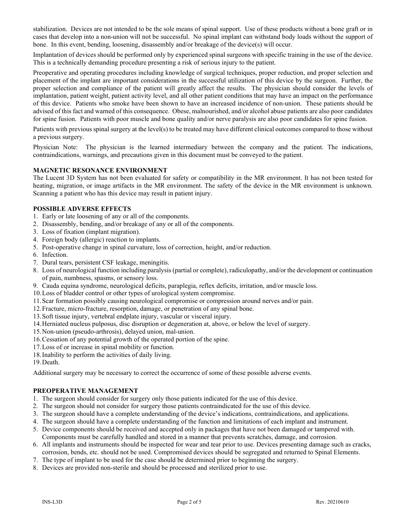stabilization. Devices are not intended to be the sole means of spinal support. Use of these products without a bone graft or in cases that develop into a non-union will not be successful. No spinal implant can withstand body loads without the support of bone. In this event, bending, loosening, disassembly and/or breakage of the device(s) will occur.

Implantation of devices should be performed only by experienced spinal surgeons with specific training in the use of the device. This is a technically demanding procedure presenting a risk of serious injury to the patient.

Preoperative and operating procedures including knowledge of surgical techniques, proper reduction, and proper selection and placement of the implant are important considerations in the successful utilization of this device by the surgeon. Further, the proper selection and compliance of the patient will greatly affect the results. The physician should consider the levels of implantation, patient weight, patient activity level, and all other patient conditions that may have an impact on the performance of this device. Patients who smoke have been shown to have an increased incidence of non-union. These patients should be advised of this fact and warned of this consequence. Obese, malnourished, and/or alcohol abuse patients are also poor candidates for spine fusion. Patients with poor muscle and bone quality and/or nerve paralysis are also poor candidates for spine fusion.

Patients with previous spinal surgery at the level(s) to be treated may have different clinical outcomes compared to those without a previous surgery.

Physician Note: The physician is the learned intermediary between the company and the patient. The indications, contraindications, warnings, and precautions given in this document must be conveyed to the patient.

### **MAGNETIC RESONANCE ENVIRONMENT**

The Lucent 3D System has not been evaluated for safety or compatibility in the MR environment. It has not been tested for heating, migration, or image artifacts in the MR environment. The safety of the device in the MR environment is unknown. Scanning a patient who has this device may result in patient injury.

### **POSSIBLE ADVERSE EFFECTS**

- 1. Early or late loosening of any or all of the components.
- 2. Disassembly, bending, and/or breakage of any or all of the components.
- 3. Loss of fixation (implant migration).
- 4. Foreign body (allergic) reaction to implants.
- 5. Post-operative change in spinal curvature, loss of correction, height, and/or reduction.
- 6. Infection.
- 7. Dural tears, persistent CSF leakage, meningitis.
- 8. Loss of neurological function including paralysis (partial or complete), radiculopathy, and/or the development or continuation of pain, numbness, spasms, or sensory loss.
- 9. Cauda equina syndrome, neurological deficits, paraplegia, reflex deficits, irritation, and/or muscle loss.
- 10.Loss of bladder control or other types of urological system compromise.
- 11.Scar formation possibly causing neurological compromise or compression around nerves and/or pain.
- 12.Fracture, micro-fracture, resorption, damage, or penetration of any spinal bone.
- 13.Soft tissue injury, vertebral endplate injury, vascular or visceral injury.
- 14.Herniated nucleus pulposus, disc disruption or degeneration at, above, or below the level of surgery.
- 15.Non-union (pseudo-arthrosis), delayed union, mal-union.
- 16.Cessation of any potential growth of the operated portion of the spine.
- 17.Loss of or increase in spinal mobility or function.
- 18.Inability to perform the activities of daily living.

19.Death.

Additional surgery may be necessary to correct the occurrence of some of these possible adverse events.

# **PREOPERATIVE MANAGEMENT**

- 1. The surgeon should consider for surgery only those patients indicated for the use of this device.
- 2. The surgeon should not consider for surgery those patients contraindicated for the use of this device.
- 3. The surgeon should have a complete understanding of the device's indications, contraindications, and applications.
- 4. The surgeon should have a complete understanding of the function and limitations of each implant and instrument.
- 5. Device components should be received and accepted only in packages that have not been damaged or tampered with. Components must be carefully handled and stored in a manner that prevents scratches, damage, and corrosion.
- 6. All implants and instruments should be inspected for wear and tear prior to use. Devices presenting damage such as cracks, corrosion, bends, etc. should not be used. Compromised devices should be segregated and returned to Spinal Elements.
- 7. The type of implant to be used for the case should be determined prior to beginning the surgery.
- 8. Devices are provided non-sterile and should be processed and sterilized prior to use.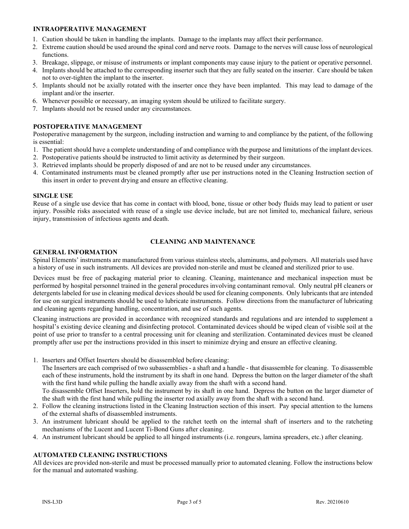### **INTRAOPERATIVE MANAGEMENT**

- 1. Caution should be taken in handling the implants. Damage to the implants may affect their performance.
- 2. Extreme caution should be used around the spinal cord and nerve roots. Damage to the nerves will cause loss of neurological functions.
- 3. Breakage, slippage, or misuse of instruments or implant components may cause injury to the patient or operative personnel.
- 4. Implants should be attached to the corresponding inserter such that they are fully seated on the inserter. Care should be taken not to over-tighten the implant to the inserter.
- 5. Implants should not be axially rotated with the inserter once they have been implanted. This may lead to damage of the implant and/or the inserter.
- 6. Whenever possible or necessary, an imaging system should be utilized to facilitate surgery.
- 7. Implants should not be reused under any circumstances.

# **POSTOPERATIVE MANAGEMENT**

Postoperative management by the surgeon, including instruction and warning to and compliance by the patient, of the following is essential:

- 1. The patient should have a complete understanding of and compliance with the purpose and limitations of the implant devices.
- 2. Postoperative patients should be instructed to limit activity as determined by their surgeon.
- 3. Retrieved implants should be properly disposed of and are not to be reused under any circumstances.
- 4. Contaminated instruments must be cleaned promptly after use per instructions noted in the Cleaning Instruction section of this insert in order to prevent drying and ensure an effective cleaning.

### **SINGLE USE**

Reuse of a single use device that has come in contact with blood, bone, tissue or other body fluids may lead to patient or user injury. Possible risks associated with reuse of a single use device include, but are not limited to, mechanical failure, serious injury, transmission of infectious agents and death.

# **CLEANING AND MAINTENANCE**

### **GENERAL INFORMATION**

Spinal Elements' instruments are manufactured from various stainless steels, aluminums, and polymers. All materials used have a history of use in such instruments. All devices are provided non-sterile and must be cleaned and sterilized prior to use.

Devices must be free of packaging material prior to cleaning. Cleaning, maintenance and mechanical inspection must be performed by hospital personnel trained in the general procedures involving contaminant removal. Only neutral pH cleaners or detergents labeled for use in cleaning medical devices should be used for cleaning components. Only lubricants that are intended for use on surgical instruments should be used to lubricate instruments. Follow directions from the manufacturer of lubricating and cleaning agents regarding handling, concentration, and use of such agents.

Cleaning instructions are provided in accordance with recognized standards and regulations and are intended to supplement a hospital's existing device cleaning and disinfecting protocol. Contaminated devices should be wiped clean of visible soil at the point of use prior to transfer to a central processing unit for cleaning and sterilization. Contaminated devices must be cleaned promptly after use per the instructions provided in this insert to minimize drying and ensure an effective cleaning.

1. Inserters and Offset Inserters should be disassembled before cleaning:

The Inserters are each comprised of two subassemblies - a shaft and a handle - that disassemble for cleaning. To disassemble each of these instruments, hold the instrument by its shaft in one hand. Depress the button on the larger diameter of the shaft with the first hand while pulling the handle axially away from the shaft with a second hand.

To disassemble Offset Inserters, hold the instrument by its shaft in one hand. Depress the button on the larger diameter of the shaft with the first hand while pulling the inserter rod axially away from the shaft with a second hand.

- 2. Follow the cleaning instructions listed in the Cleaning Instruction section of this insert. Pay special attention to the lumens of the external shafts of disassembled instruments.
- 3. An instrument lubricant should be applied to the ratchet teeth on the internal shaft of inserters and to the ratcheting mechanisms of the Lucent and Lucent Ti-Bond Guns after cleaning.
- 4. An instrument lubricant should be applied to all hinged instruments (i.e. rongeurs, lamina spreaders, etc.) after cleaning.

# **AUTOMATED CLEANING INSTRUCTIONS**

All devices are provided non-sterile and must be processed manually prior to automated cleaning. Follow the instructions below for the manual and automated washing.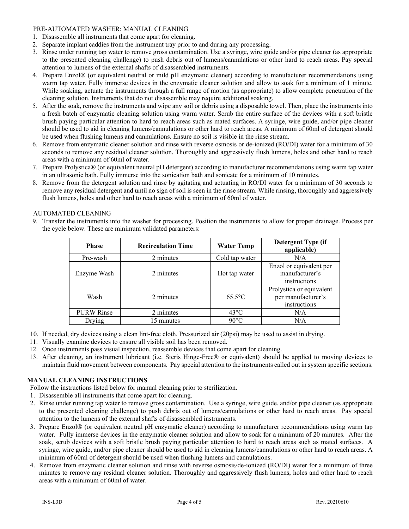### PRE-AUTOMATED WASHER: MANUAL CLEANING

- 1. Disassemble all instruments that come apart for cleaning.
- 2. Separate implant caddies from the instrument tray prior to and during any processing.
- 3. Rinse under running tap water to remove gross contamination. Use a syringe, wire guide and/or pipe cleaner (as appropriate to the presented cleaning challenge) to push debris out of lumens/cannulations or other hard to reach areas. Pay special attention to lumens of the external shafts of disassembled instruments.
- 4. Prepare Enzol® (or equivalent neutral or mild pH enzymatic cleaner) according to manufacturer recommendations using warm tap water. Fully immerse devices in the enzymatic cleaner solution and allow to soak for a minimum of 1 minute. While soaking, actuate the instruments through a full range of motion (as appropriate) to allow complete penetration of the cleaning solution. Instruments that do not disassemble may require additional soaking.
- 5. After the soak, remove the instruments and wipe any soil or debris using a disposable towel. Then, place the instruments into a fresh batch of enzymatic cleaning solution using warm water. Scrub the entire surface of the devices with a soft bristle brush paying particular attention to hard to reach areas such as mated surfaces. A syringe, wire guide, and/or pipe cleaner should be used to aid in cleaning lumens/cannulations or other hard to reach areas. A minimum of 60ml of detergent should be used when flushing lumens and cannulations. Ensure no soil is visible in the rinse stream.
- 6. Remove from enzymatic cleaner solution and rinse with reverse osmosis or de-ionized (RO/DI) water for a minimum of 30 seconds to remove any residual cleaner solution. Thoroughly and aggressively flush lumens, holes and other hard to reach areas with a minimum of 60ml of water.
- 7. Prepare Prolystica® (or equivalent neutral pH detergent) according to manufacturer recommendations using warm tap water in an ultrasonic bath. Fully immerse into the sonication bath and sonicate for a minimum of 10 minutes.
- 8. Remove from the detergent solution and rinse by agitating and actuating in RO/DI water for a minimum of 30 seconds to remove any residual detergent and until no sign of soil is seen in the rinse stream. While rinsing, thoroughly and aggressively flush lumens, holes and other hard to reach areas with a minimum of 60ml of water.

# AUTOMATED CLEANING

9. Transfer the instruments into the washer for processing. Position the instruments to allow for proper drainage. Process per the cycle below. These are minimum validated parameters:

| <b>Phase</b>      | <b>Recirculation Time</b> | <b>Water Temp</b> | Detergent Type (if<br>applicable)                              |
|-------------------|---------------------------|-------------------|----------------------------------------------------------------|
| Pre-wash          | 2 minutes                 | Cold tap water    | N/A                                                            |
| Enzyme Wash       | 2 minutes                 | Hot tap water     | Enzol or equivalent per<br>manufacturer's<br>instructions      |
| Wash              | 2 minutes                 | $65.5^{\circ}$ C  | Prolystica or equivalent<br>per manufacturer's<br>instructions |
| <b>PURW Rinse</b> | 2 minutes                 | $43^{\circ}$ C    | N/A                                                            |
| Drying            | 15 minutes                | $90^{\circ}$ C    | N/A                                                            |

- 10. If needed, dry devices using a clean lint-free cloth. Pressurized air (20psi) may be used to assist in drying.
- 11. Visually examine devices to ensure all visible soil has been removed.
- 12. Once instruments pass visual inspection, reassemble devices that come apart for cleaning.
- 13. After cleaning, an instrument lubricant (i.e. Steris Hinge-Free® or equivalent) should be applied to moving devices to maintain fluid movement between components. Pay special attention to the instruments called out in system specific sections.

# **MANUAL CLEANING INSTRUCTIONS**

Follow the instructions listed below for manual cleaning prior to sterilization.

- 1. Disassemble all instruments that come apart for cleaning.
- 2. Rinse under running tap water to remove gross contamination. Use a syringe, wire guide, and/or pipe cleaner (as appropriate to the presented cleaning challenge) to push debris out of lumens/cannulations or other hard to reach areas. Pay special attention to the lumens of the external shafts of disassembled instruments.
- 3. Prepare Enzol® (or equivalent neutral pH enzymatic cleaner) according to manufacturer recommendations using warm tap water. Fully immerse devices in the enzymatic cleaner solution and allow to soak for a minimum of 20 minutes. After the soak, scrub devices with a soft bristle brush paying particular attention to hard to reach areas such as mated surfaces. A syringe, wire guide, and/or pipe cleaner should be used to aid in cleaning lumens/cannulations or other hard to reach areas. A minimum of 60ml of detergent should be used when flushing lumens and cannulations.
- 4. Remove from enzymatic cleaner solution and rinse with reverse osmosis/de-ionized (RO/DI) water for a minimum of three minutes to remove any residual cleaner solution. Thoroughly and aggressively flush lumens, holes and other hard to reach areas with a minimum of 60ml of water.